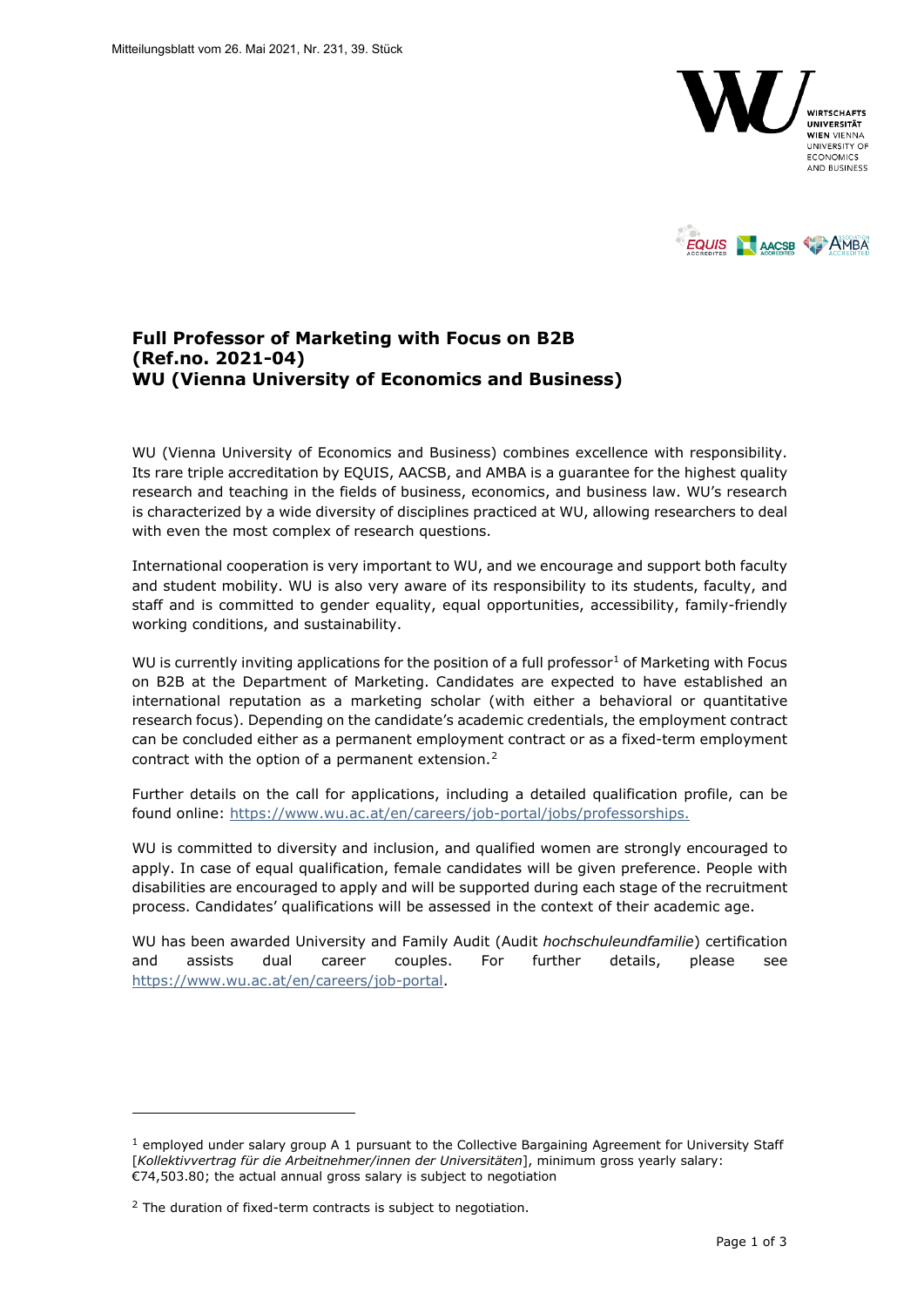



## **Full Professor of Marketing with Focus on B2B (Ref.no. 2021-04) WU (Vienna University of Economics and Business)**

WU (Vienna University of Economics and Business) combines excellence with responsibility. Its rare triple accreditation by EQUIS, AACSB, and AMBA is a guarantee for the highest quality research and teaching in the fields of business, economics, and business law. WU's research is characterized by a wide diversity of disciplines practiced at WU, allowing researchers to deal with even the most complex of research questions.

International cooperation is very important to WU, and we encourage and support both faculty and student mobility. WU is also very aware of its responsibility to its students, faculty, and staff and is committed to gender equality, equal opportunities, accessibility, family-friendly working conditions, and sustainability.

WU is currently inviting applications for the position of a full professor<sup>[1](#page-0-0)</sup> of Marketing with Focus on B2B at the Department of Marketing. Candidates are expected to have established an international reputation as a marketing scholar (with either a behavioral or quantitative research focus). Depending on the candidate's academic credentials, the employment contract can be concluded either as a permanent employment contract or as a fixed-term employment contract with the option of a permanent extension. $2$ 

Further details on the call for applications, including a detailed qualification profile, can be found online: [https://www.wu.ac.at/en/careers/job-portal/jobs/professorships.](https://www.wu.ac.at/en/careers/job-portal/jobs/professorships)

WU is committed to diversity and inclusion, and qualified women are strongly encouraged to apply. In case of equal qualification, female candidates will be given preference. People with disabilities are encouraged to apply and will be supported during each stage of the recruitment process. Candidates' qualifications will be assessed in the context of their academic age.

WU has been awarded University and Family Audit (Audit *hochschuleundfamilie*) certification and assists dual career couples. For further details, please see [https://www.wu.ac.at/en/careers/job-portal.](https://www.wu.ac.at/en/careers/job-portal)

<span id="page-0-0"></span> $<sup>1</sup>$  employed under salary group A 1 pursuant to the Collective Bargaining Agreement for University Staff</sup> [*Kollektivvertrag für die Arbeitnehmer/innen der Universitäten*], minimum gross yearly salary: €74,503.80; the actual annual gross salary is subject to negotiation

<span id="page-0-1"></span><sup>&</sup>lt;sup>2</sup> The duration of fixed-term contracts is subject to negotiation.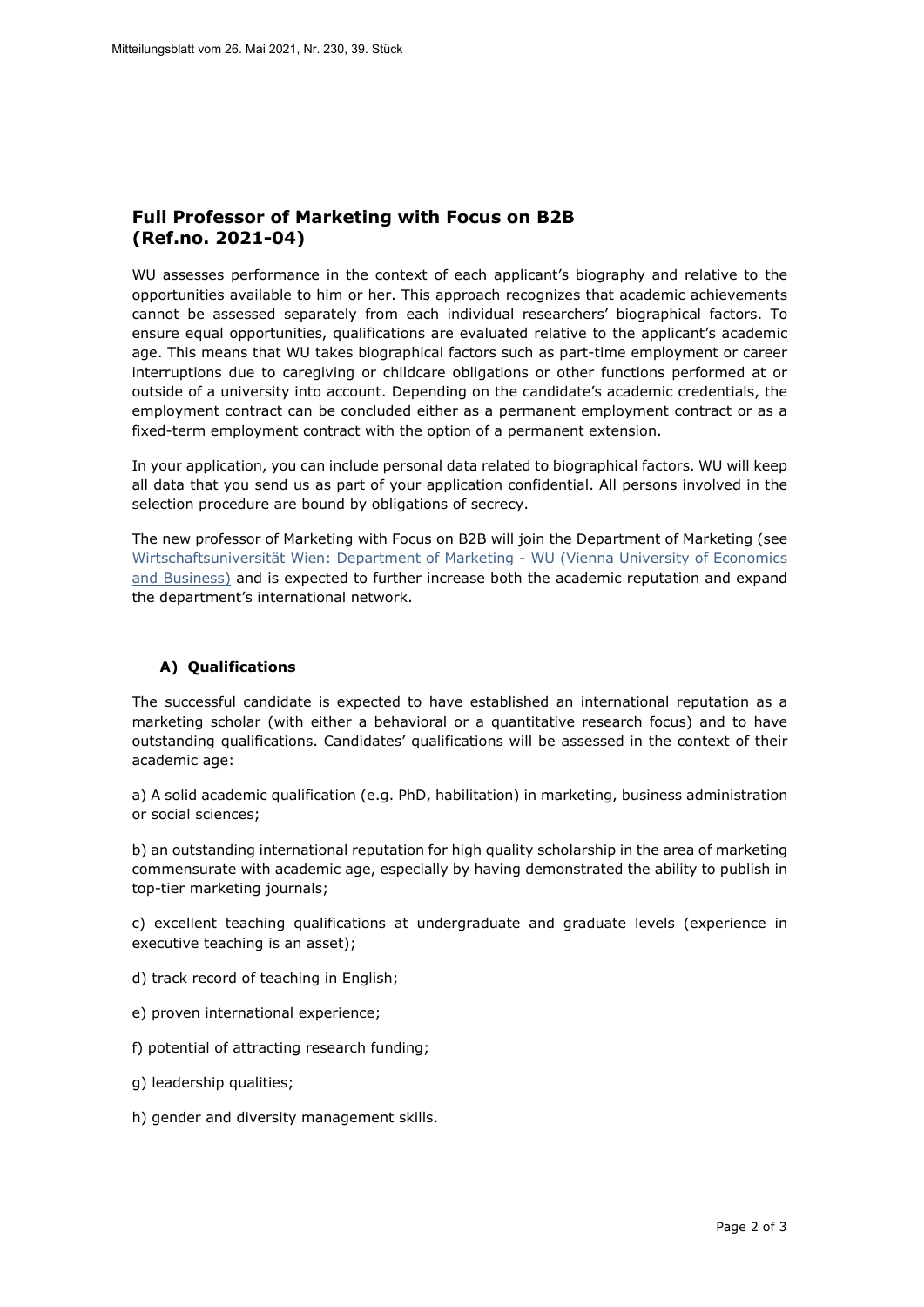# **Full Professor of Marketing with Focus on B2B (Ref.no. 2021-04)**

WU assesses performance in the context of each applicant's biography and relative to the opportunities available to him or her. This approach recognizes that academic achievements cannot be assessed separately from each individual researchers' biographical factors. To ensure equal opportunities, qualifications are evaluated relative to the applicant's academic age. This means that WU takes biographical factors such as part-time employment or career interruptions due to caregiving or childcare obligations or other functions performed at or outside of a university into account. Depending on the candidate's academic credentials, the employment contract can be concluded either as a permanent employment contract or as a fixed-term employment contract with the option of a permanent extension.

In your application, you can include personal data related to biographical factors. WU will keep all data that you send us as part of your application confidential. All persons involved in the selection procedure are bound by obligations of secrecy.

The new professor of Marketing with Focus on B2B will join the Department of Marketing (see [Wirtschaftsuniversität Wien: Department of Marketing - WU \(Vienna University of Economics](https://www.wu.ac.at/en/marketing)  [and Business\)](https://www.wu.ac.at/en/marketing) and is expected to further increase both the academic reputation and expand the department's international network.

## **A) Qualifications**

The successful candidate is expected to have established an international reputation as a marketing scholar (with either a behavioral or a quantitative research focus) and to have outstanding qualifications. Candidates' qualifications will be assessed in the context of their academic age:

a) A solid academic qualification (e.g. PhD, habilitation) in marketing, business administration or social sciences;

b) an outstanding international reputation for high quality scholarship in the area of marketing commensurate with academic age, especially by having demonstrated the ability to publish in top-tier marketing journals;

c) excellent teaching qualifications at undergraduate and graduate levels (experience in executive teaching is an asset);

- d) track record of teaching in English;
- e) proven international experience;
- f) potential of attracting research funding;
- g) leadership qualities;
- h) gender and diversity management skills.